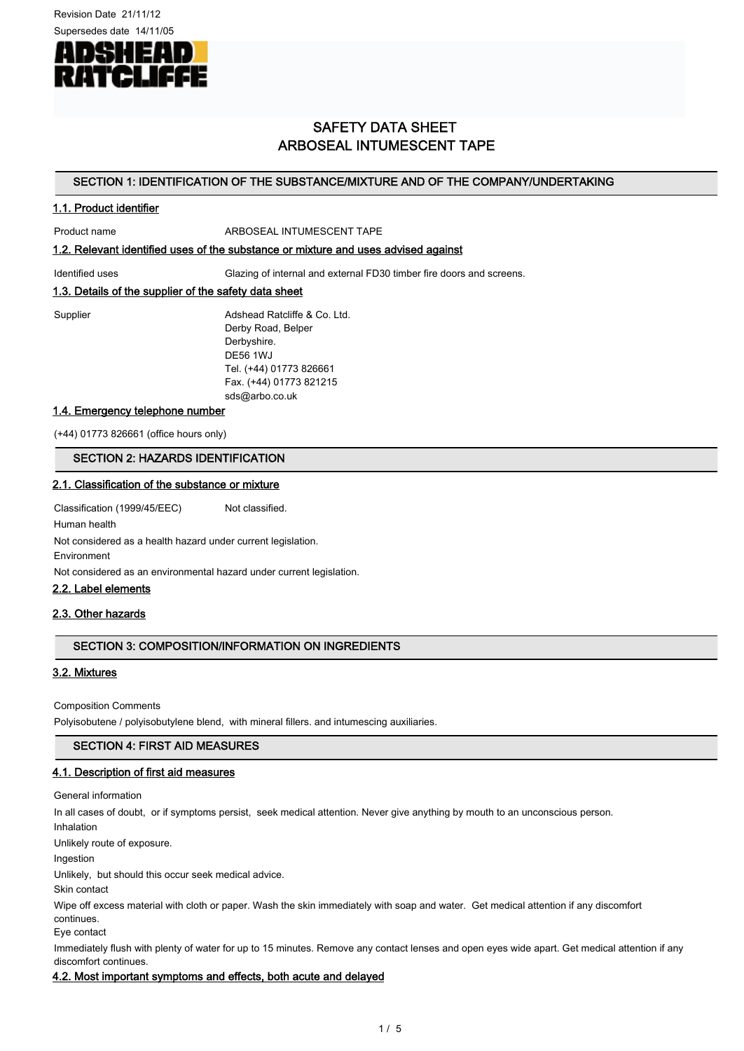Revision Date 21/11/12



# SAFETY DATA SHEET ARBOSEAL INTUMESCENT TAPE

## SECTION 1: IDENTIFICATION OF THE SUBSTANCE/MIXTURE AND OF THE COMPANY/UNDERTAKING

## 1.1. Product identifier

Product name ARBOSEAL INTUMESCENT TAPE

## 1.2. Relevant identified uses of the substance or mixture and uses advised against

Identified uses Glazing of internal and external FD30 timber fire doors and screens.

## 1.3. Details of the supplier of the safety data sheet

Supplier **Adshead Ratcliffe & Co. Ltd.** Derby Road, Belper Derbyshire. DE56 1WJ Tel. (+44) 01773 826661 Fax. (+44) 01773 821215 sds@arbo.co.uk

## 1.4. Emergency telephone number

(+44) 01773 826661 (office hours only)

## SECTION 2: HAZARDS IDENTIFICATION

## 2.1. Classification of the substance or mixture

Classification (1999/45/EEC) Not classified.

Human health Not considered as a health hazard under current legislation. Environment

Not considered as an environmental hazard under current legislation.

#### 2.2. Label elements

## 2.3. Other hazards

## SECTION 3: COMPOSITION/INFORMATION ON INGREDIENTS

## 3.2. Mixtures

Composition Comments

Polyisobutene / polyisobutylene blend, with mineral fillers. and intumescing auxiliaries.

## SECTION 4: FIRST AID MEASURES

## 4.1. Description of first aid measures

General information

In all cases of doubt, or if symptoms persist, seek medical attention. Never give anything by mouth to an unconscious person.

Inhalation

Unlikely route of exposure.

Ingestion

Unlikely, but should this occur seek medical advice.

Skin contact

Wipe off excess material with cloth or paper. Wash the skin immediately with soap and water. Get medical attention if any discomfort continues.

Eye contact

Immediately flush with plenty of water for up to 15 minutes. Remove any contact lenses and open eyes wide apart. Get medical attention if any discomfort continues.

## 4.2. Most important symptoms and effects, both acute and delayed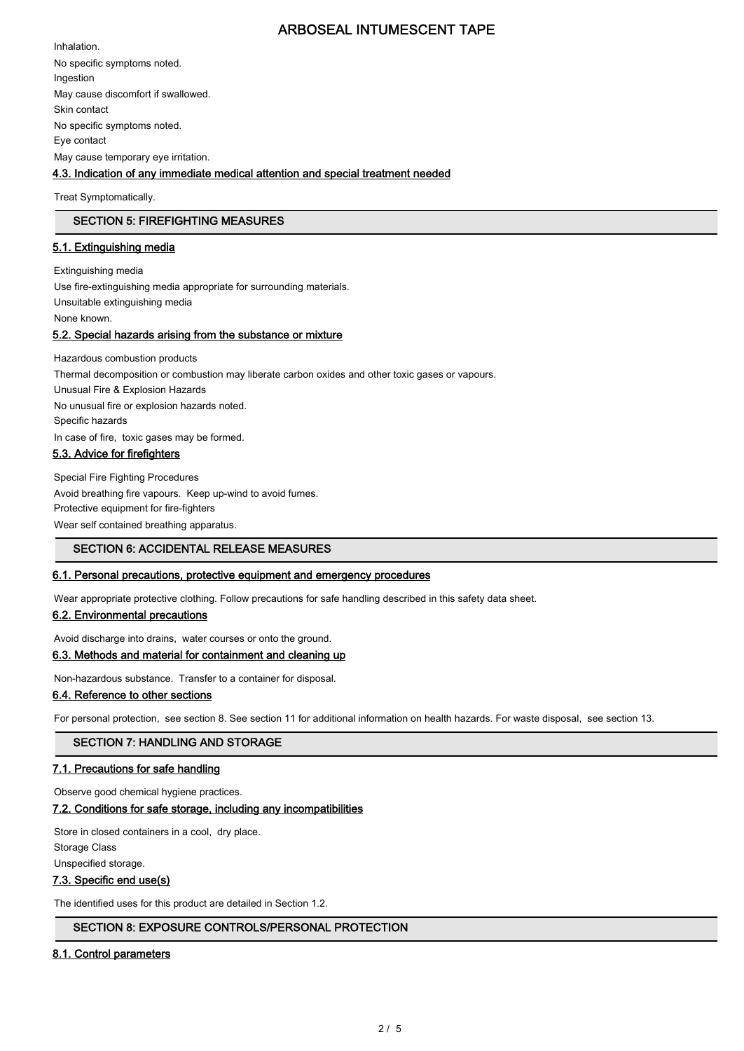Inhalation. No specific symptoms noted. Ingestion May cause discomfort if swallowed. Skin contact No specific symptoms noted. Eye contact May cause temporary eye irritation.

## 4.3. Indication of any immediate medical attention and special treatment needed

Treat Symptomatically.

## SECTION 5: FIREFIGHTING MEASURES

## 5.1. Extinguishing media

Extinguishing media Use fire-extinguishing media appropriate for surrounding materials. Unsuitable extinguishing media None known. 5.2. Special hazards arising from the substance or mixture

Hazardous combustion products Thermal decomposition or combustion may liberate carbon oxides and other toxic gases or vapours. Unusual Fire & Explosion Hazards No unusual fire or explosion hazards noted. Specific hazards In case of fire, toxic gases may be formed. 5.3. Advice for firefighters

Special Fire Fighting Procedures Avoid breathing fire vapours. Keep up-wind to avoid fumes. Protective equipment for fire-fighters Wear self contained breathing apparatus.

## SECTION 6: ACCIDENTAL RELEASE MEASURES

## 6.1. Personal precautions, protective equipment and emergency procedures

Wear appropriate protective clothing. Follow precautions for safe handling described in this safety data sheet.

## 6.2. Environmental precautions

Avoid discharge into drains, water courses or onto the ground.

# 6.3. Methods and material for containment and cleaning up

Non-hazardous substance. Transfer to a container for disposal.

## 6.4. Reference to other sections

For personal protection, see section 8. See section 11 for additional information on health hazards. For waste disposal, see section 13.

SECTION 7: HANDLING AND STORAGE

## 7.1. Precautions for safe handling

Observe good chemical hygiene practices.

## 7.2. Conditions for safe storage, including any incompatibilities

Store in closed containers in a cool, dry place. Storage Class

Unspecified storage.

## 7.3. Specific end use(s)

The identified uses for this product are detailed in Section 1.2.

## SECTION 8: EXPOSURE CONTROLS/PERSONAL PROTECTION

## 8.1. Control parameters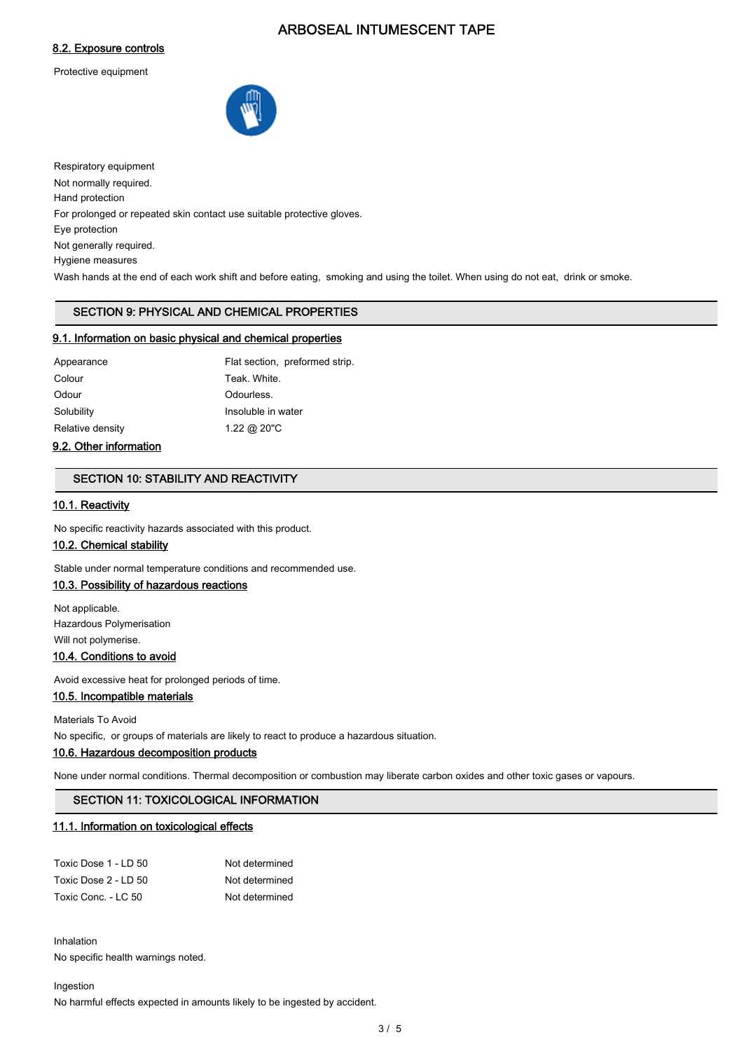## 8.2. Exposure controls

Protective equipment



Respiratory equipment Not normally required. Hand protection For prolonged or repeated skin contact use suitable protective gloves. Eye protection Not generally required. Hygiene measures Wash hands at the end of each work shift and before eating, smoking and using the toilet. When using do not eat, drink or smoke.

# SECTION 9: PHYSICAL AND CHEMICAL PROPERTIES

## 9.1. Information on basic physical and chemical properties

| Appearance       | Flat section, preformed strip. |
|------------------|--------------------------------|
| Colour           | Teak. White.                   |
| Odour            | Odourless.                     |
| Solubility       | Insoluble in water             |
| Relative density | 1.22 @ 20"C                    |

## 9.2. Other information

## SECTION 10: STABILITY AND REACTIVITY

## 10.1. Reactivity

No specific reactivity hazards associated with this product.

## 10.2. Chemical stability

Stable under normal temperature conditions and recommended use.

# 10.3. Possibility of hazardous reactions

Not applicable. Hazardous Polymerisation Will not polymerise.

# 10.4. Conditions to avoid

Avoid excessive heat for prolonged periods of time.

10.5. Incompatible materials

Materials To Avoid

No specific, or groups of materials are likely to react to produce a hazardous situation.

## 10.6. Hazardous decomposition products

None under normal conditions. Thermal decomposition or combustion may liberate carbon oxides and other toxic gases or vapours.

## SECTION 11: TOXICOLOGICAL INFORMATION

## 11.1. Information on toxicological effects

| Toxic Dose 1 - LD 50 | Not determined |
|----------------------|----------------|
| Toxic Dose 2 - LD 50 | Not determined |
| Toxic Conc. - LC 50  | Not determined |

Inhalation No specific health warnings noted.

Ingestion

No harmful effects expected in amounts likely to be ingested by accident.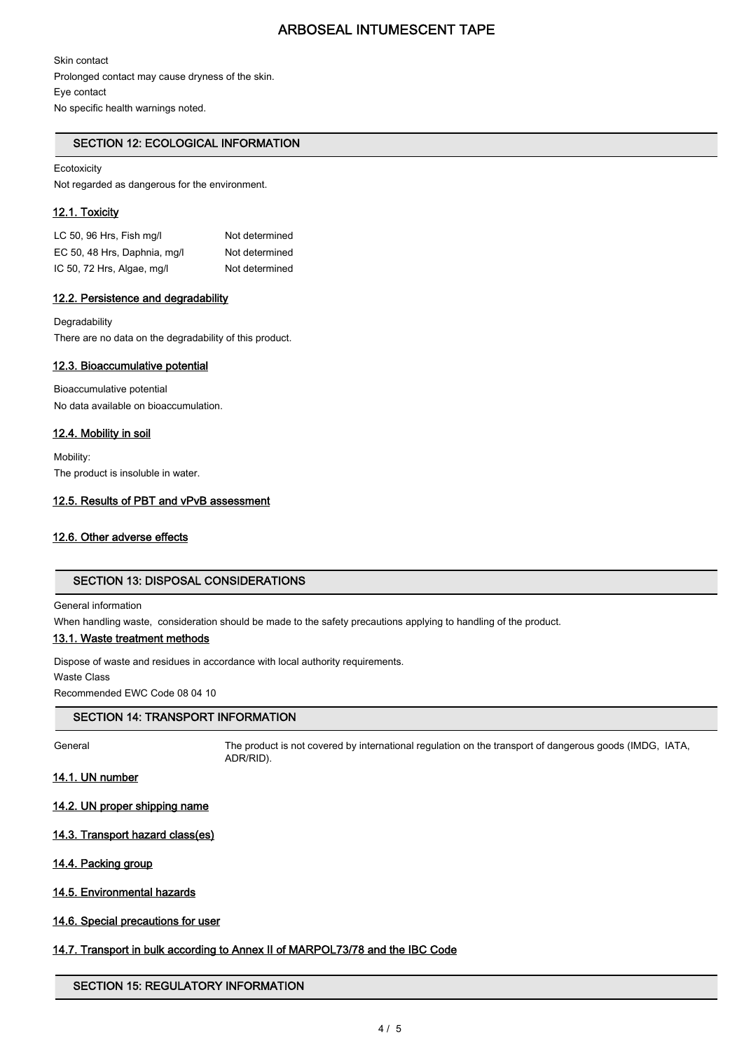Skin contact Prolonged contact may cause dryness of the skin. Eye contact No specific health warnings noted.

## SECTION 12: ECOLOGICAL INFORMATION

## Ecotoxicity

Not regarded as dangerous for the environment.

#### 12.1. Toxicity

LC 50, 96 Hrs, Fish ma/l Not determined EC 50, 48 Hrs, Daphnia, mg/l Not determined IC 50, 72 Hrs, Algae, mg/l Not determined

#### 12.2. Persistence and degradability

**Degradability** There are no data on the degradability of this product.

#### 12.3. Bioaccumulative potential

Bioaccumulative potential No data available on bioaccumulation.

#### 12.4. Mobility in soil

Mobility: The product is insoluble in water.

#### 12.5. Results of PBT and vPvB assessment

## 12.6. Other adverse effects

# SECTION 13: DISPOSAL CONSIDERATIONS

#### General information

When handling waste, consideration should be made to the safety precautions applying to handling of the product.

### 13.1. Waste treatment methods

Dispose of waste and residues in accordance with local authority requirements.

Waste Class

Recommended EWC Code 08 04 10

## SECTION 14: TRANSPORT INFORMATION

General The product is not covered by international regulation on the transport of dangerous goods (IMDG, IATA, ADR/RID).

### 14.1. UN number

14.2. UN proper shipping name

#### 14.3. Transport hazard class(es)

#### 14.4. Packing group

## 14.5. Environmental hazards

## 14.6. Special precautions for user

# 14.7. Transport in bulk according to Annex II of MARPOL73/78 and the IBC Code

## SECTION 15: REGULATORY INFORMATION